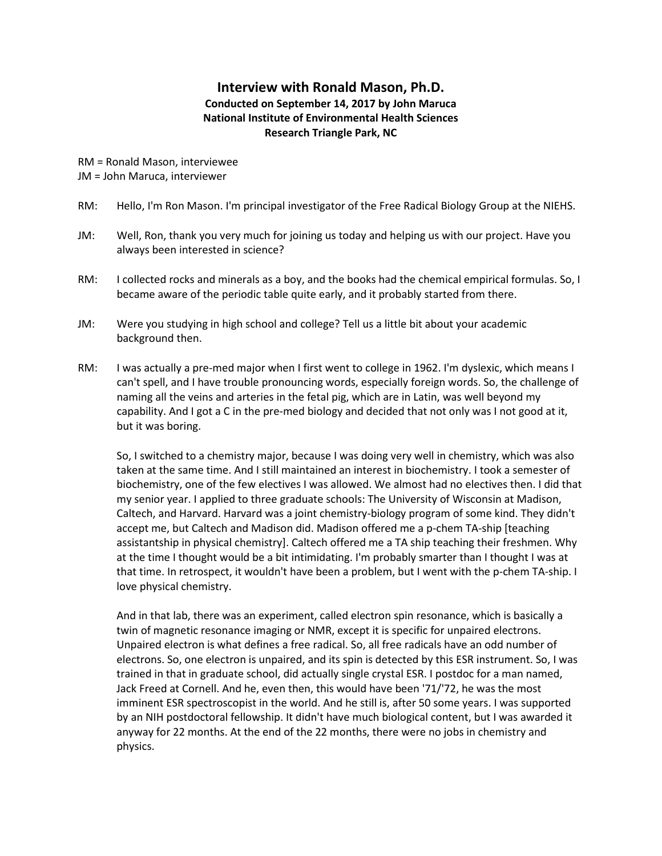## **Interview with Ronald Mason, Ph.D. Conducted on September 14, 2017 by John Maruca National Institute of Environmental Health Sciences Research Triangle Park, NC**

RM = Ronald Mason, interviewee JM = John Maruca, interviewer

- RM: Hello, I'm Ron Mason. I'm principal investigator of the Free Radical Biology Group at the NIEHS.
- JM: Well, Ron, thank you very much for joining us today and helping us with our project. Have you always been interested in science?
- RM: I collected rocks and minerals as a boy, and the books had the chemical empirical formulas. So, I became aware of the periodic table quite early, and it probably started from there.
- JM: Were you studying in high school and college? Tell us a little bit about your academic background then.
- RM: I was actually a pre-med major when I first went to college in 1962. I'm dyslexic, which means I can't spell, and I have trouble pronouncing words, especially foreign words. So, the challenge of naming all the veins and arteries in the fetal pig, which are in Latin, was well beyond my capability. And I got a C in the pre-med biology and decided that not only was I not good at it, but it was boring.

So, I switched to a chemistry major, because I was doing very well in chemistry, which was also taken at the same time. And I still maintained an interest in biochemistry. I took a semester of biochemistry, one of the few electives I was allowed. We almost had no electives then. I did that my senior year. I applied to three graduate schools: The University of Wisconsin at Madison, Caltech, and Harvard. Harvard was a joint chemistry-biology program of some kind. They didn't accept me, but Caltech and Madison did. Madison offered me a p-chem TA-ship [teaching assistantship in physical chemistry]. Caltech offered me a TA ship teaching their freshmen. Why at the time I thought would be a bit intimidating. I'm probably smarter than I thought I was at that time. In retrospect, it wouldn't have been a problem, but I went with the p-chem TA-ship. I love physical chemistry.

And in that lab, there was an experiment, called electron spin resonance, which is basically a twin of magnetic resonance imaging or NMR, except it is specific for unpaired electrons. Unpaired electron is what defines a free radical. So, all free radicals have an odd number of electrons. So, one electron is unpaired, and its spin is detected by this ESR instrument. So, I was trained in that in graduate school, did actually single crystal ESR. I postdoc for a man named, Jack Freed at Cornell. And he, even then, this would have been '71/'72, he was the most imminent ESR spectroscopist in the world. And he still is, after 50 some years. I was supported by an NIH postdoctoral fellowship. It didn't have much biological content, but I was awarded it anyway for 22 months. At the end of the 22 months, there were no jobs in chemistry and physics.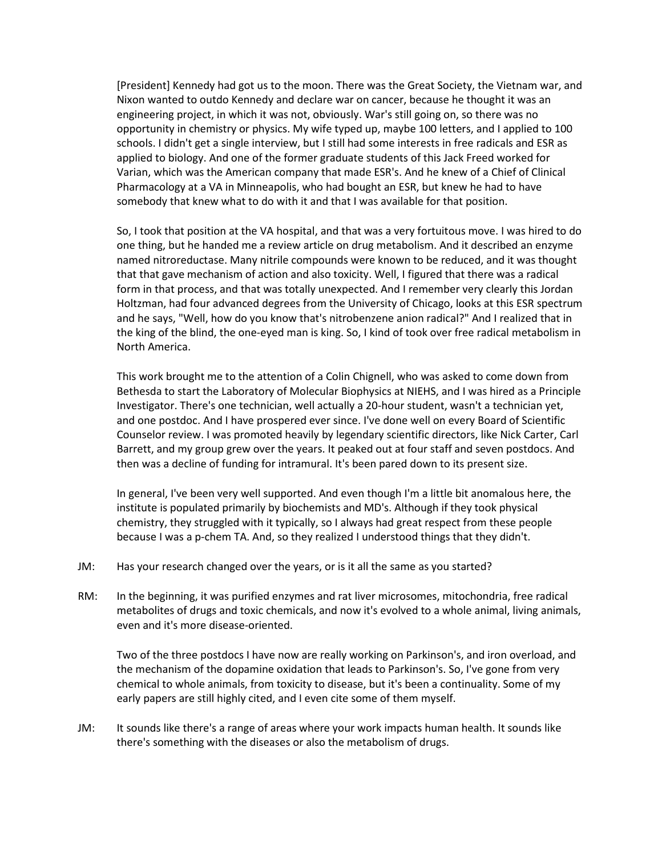[President] Kennedy had got us to the moon. There was the Great Society, the Vietnam war, and Nixon wanted to outdo Kennedy and declare war on cancer, because he thought it was an engineering project, in which it was not, obviously. War's still going on, so there was no opportunity in chemistry or physics. My wife typed up, maybe 100 letters, and I applied to 100 schools. I didn't get a single interview, but I still had some interests in free radicals and ESR as applied to biology. And one of the former graduate students of this Jack Freed worked for Varian, which was the American company that made ESR's. And he knew of a Chief of Clinical Pharmacology at a VA in Minneapolis, who had bought an ESR, but knew he had to have somebody that knew what to do with it and that I was available for that position.

So, I took that position at the VA hospital, and that was a very fortuitous move. I was hired to do one thing, but he handed me a review article on drug metabolism. And it described an enzyme named nitroreductase. Many nitrile compounds were known to be reduced, and it was thought that that gave mechanism of action and also toxicity. Well, I figured that there was a radical form in that process, and that was totally unexpected. And I remember very clearly this Jordan Holtzman, had four advanced degrees from the University of Chicago, looks at this ESR spectrum and he says, "Well, how do you know that's nitrobenzene anion radical?" And I realized that in the king of the blind, the one-eyed man is king. So, I kind of took over free radical metabolism in North America.

This work brought me to the attention of a Colin Chignell, who was asked to come down from Bethesda to start the Laboratory of Molecular Biophysics at NIEHS, and I was hired as a Principle Investigator. There's one technician, well actually a 20-hour student, wasn't a technician yet, and one postdoc. And I have prospered ever since. I've done well on every Board of Scientific Counselor review. I was promoted heavily by legendary scientific directors, like Nick Carter, Carl Barrett, and my group grew over the years. It peaked out at four staff and seven postdocs. And then was a decline of funding for intramural. It's been pared down to its present size.

In general, I've been very well supported. And even though I'm a little bit anomalous here, the institute is populated primarily by biochemists and MD's. Although if they took physical chemistry, they struggled with it typically, so I always had great respect from these people because I was a p-chem TA. And, so they realized I understood things that they didn't.

- JM: Has your research changed over the years, or is it all the same as you started?
- RM: In the beginning, it was purified enzymes and rat liver microsomes, mitochondria, free radical metabolites of drugs and toxic chemicals, and now it's evolved to a whole animal, living animals, even and it's more disease-oriented.

Two of the three postdocs I have now are really working on Parkinson's, and iron overload, and the mechanism of the dopamine oxidation that leads to Parkinson's. So, I've gone from very chemical to whole animals, from toxicity to disease, but it's been a continuality. Some of my early papers are still highly cited, and I even cite some of them myself.

JM: It sounds like there's a range of areas where your work impacts human health. It sounds like there's something with the diseases or also the metabolism of drugs.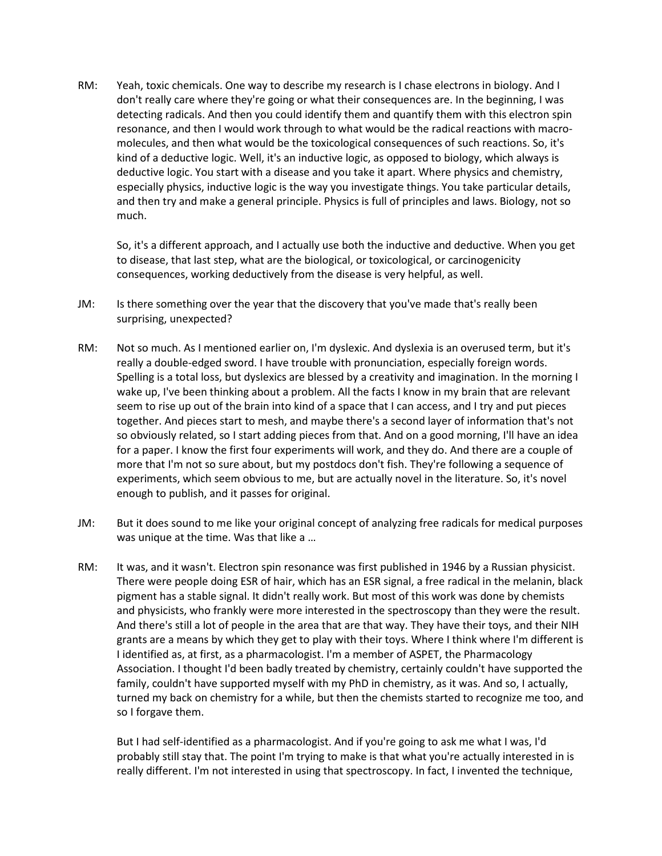RM: Yeah, toxic chemicals. One way to describe my research is I chase electrons in biology. And I don't really care where they're going or what their consequences are. In the beginning, I was detecting radicals. And then you could identify them and quantify them with this electron spin resonance, and then I would work through to what would be the radical reactions with macromolecules, and then what would be the toxicological consequences of such reactions. So, it's kind of a deductive logic. Well, it's an inductive logic, as opposed to biology, which always is deductive logic. You start with a disease and you take it apart. Where physics and chemistry, especially physics, inductive logic is the way you investigate things. You take particular details, and then try and make a general principle. Physics is full of principles and laws. Biology, not so much.

So, it's a different approach, and I actually use both the inductive and deductive. When you get to disease, that last step, what are the biological, or toxicological, or carcinogenicity consequences, working deductively from the disease is very helpful, as well.

- JM: Is there something over the year that the discovery that you've made that's really been surprising, unexpected?
- RM: Not so much. As I mentioned earlier on, I'm dyslexic. And dyslexia is an overused term, but it's really a double-edged sword. I have trouble with pronunciation, especially foreign words. Spelling is a total loss, but dyslexics are blessed by a creativity and imagination. In the morning I wake up, I've been thinking about a problem. All the facts I know in my brain that are relevant seem to rise up out of the brain into kind of a space that I can access, and I try and put pieces together. And pieces start to mesh, and maybe there's a second layer of information that's not so obviously related, so I start adding pieces from that. And on a good morning, I'll have an idea for a paper. I know the first four experiments will work, and they do. And there are a couple of more that I'm not so sure about, but my postdocs don't fish. They're following a sequence of experiments, which seem obvious to me, but are actually novel in the literature. So, it's novel enough to publish, and it passes for original.
- JM: But it does sound to me like your original concept of analyzing free radicals for medical purposes was unique at the time. Was that like a …
- RM: It was, and it wasn't. Electron spin resonance was first published in 1946 by a Russian physicist. There were people doing ESR of hair, which has an ESR signal, a free radical in the melanin, black pigment has a stable signal. It didn't really work. But most of this work was done by chemists and physicists, who frankly were more interested in the spectroscopy than they were the result. And there's still a lot of people in the area that are that way. They have their toys, and their NIH grants are a means by which they get to play with their toys. Where I think where I'm different is I identified as, at first, as a pharmacologist. I'm a member of ASPET, the Pharmacology Association. I thought I'd been badly treated by chemistry, certainly couldn't have supported the family, couldn't have supported myself with my PhD in chemistry, as it was. And so, I actually, turned my back on chemistry for a while, but then the chemists started to recognize me too, and so I forgave them.

But I had self-identified as a pharmacologist. And if you're going to ask me what I was, I'd probably still stay that. The point I'm trying to make is that what you're actually interested in is really different. I'm not interested in using that spectroscopy. In fact, I invented the technique,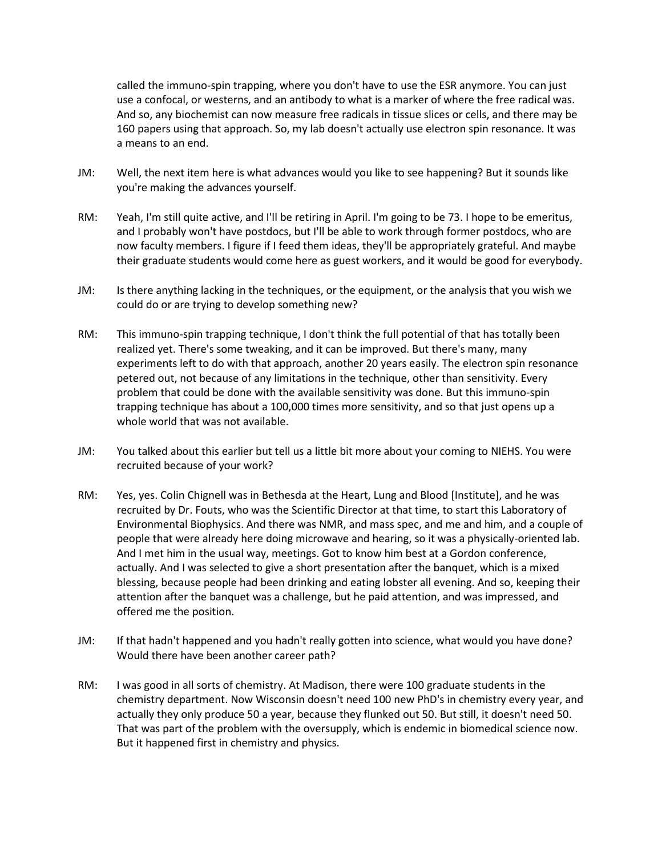called the immuno-spin trapping, where you don't have to use the ESR anymore. You can just use a confocal, or westerns, and an antibody to what is a marker of where the free radical was. And so, any biochemist can now measure free radicals in tissue slices or cells, and there may be 160 papers using that approach. So, my lab doesn't actually use electron spin resonance. It was a means to an end.

- JM: Well, the next item here is what advances would you like to see happening? But it sounds like you're making the advances yourself.
- RM: Yeah, I'm still quite active, and I'll be retiring in April. I'm going to be 73. I hope to be emeritus, and I probably won't have postdocs, but I'll be able to work through former postdocs, who are now faculty members. I figure if I feed them ideas, they'll be appropriately grateful. And maybe their graduate students would come here as guest workers, and it would be good for everybody.
- JM: Is there anything lacking in the techniques, or the equipment, or the analysis that you wish we could do or are trying to develop something new?
- RM: This immuno-spin trapping technique, I don't think the full potential of that has totally been realized yet. There's some tweaking, and it can be improved. But there's many, many experiments left to do with that approach, another 20 years easily. The electron spin resonance petered out, not because of any limitations in the technique, other than sensitivity. Every problem that could be done with the available sensitivity was done. But this immuno-spin trapping technique has about a 100,000 times more sensitivity, and so that just opens up a whole world that was not available.
- JM: You talked about this earlier but tell us a little bit more about your coming to NIEHS. You were recruited because of your work?
- RM: Yes, yes. Colin Chignell was in Bethesda at the Heart, Lung and Blood [Institute], and he was recruited by Dr. Fouts, who was the Scientific Director at that time, to start this Laboratory of Environmental Biophysics. And there was NMR, and mass spec, and me and him, and a couple of people that were already here doing microwave and hearing, so it was a physically-oriented lab. And I met him in the usual way, meetings. Got to know him best at a Gordon conference, actually. And I was selected to give a short presentation after the banquet, which is a mixed blessing, because people had been drinking and eating lobster all evening. And so, keeping their attention after the banquet was a challenge, but he paid attention, and was impressed, and offered me the position.
- JM: If that hadn't happened and you hadn't really gotten into science, what would you have done? Would there have been another career path?
- RM: I was good in all sorts of chemistry. At Madison, there were 100 graduate students in the chemistry department. Now Wisconsin doesn't need 100 new PhD's in chemistry every year, and actually they only produce 50 a year, because they flunked out 50. But still, it doesn't need 50. That was part of the problem with the oversupply, which is endemic in biomedical science now. But it happened first in chemistry and physics.